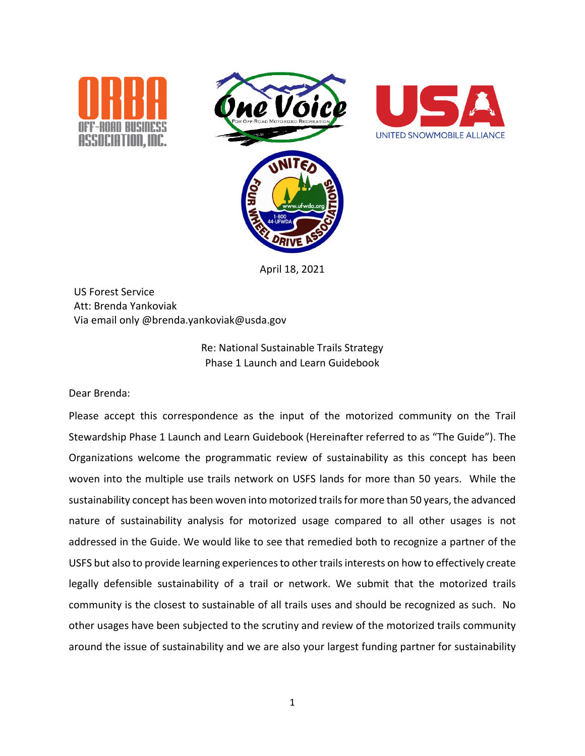





April 18, 2021

US Forest Service Att: Brenda Yankoviak Via email only @brenda.yankoviak@usda.gov

> Re: National Sustainable Trails Strategy Phase 1 Launch and Learn Guidebook

Dear Brenda:

Please accept this correspondence as the input of the motorized community on the Trail Stewardship Phase 1 Launch and Learn Guidebook (Hereinafter referred to as "The Guide"). The Organizations welcome the programmatic review of sustainability as this concept has been woven into the multiple use trails network on USFS lands for more than 50 years. While the sustainability concept has been woven into motorized trails for more than 50 years, the advanced nature of sustainability analysis for motorized usage compared to all other usages is not addressed in the Guide. We would like to see that remedied both to recognize a partner of the USFS but also to provide learning experiences to other trails interests on how to effectively create legally defensible sustainability of a trail or network. We submit that the motorized trails community is the closest to sustainable of all trails uses and should be recognized as such. No other usages have been subjected to the scrutiny and review of the motorized trails community around the issue of sustainability and we are also your largest funding partner for sustainability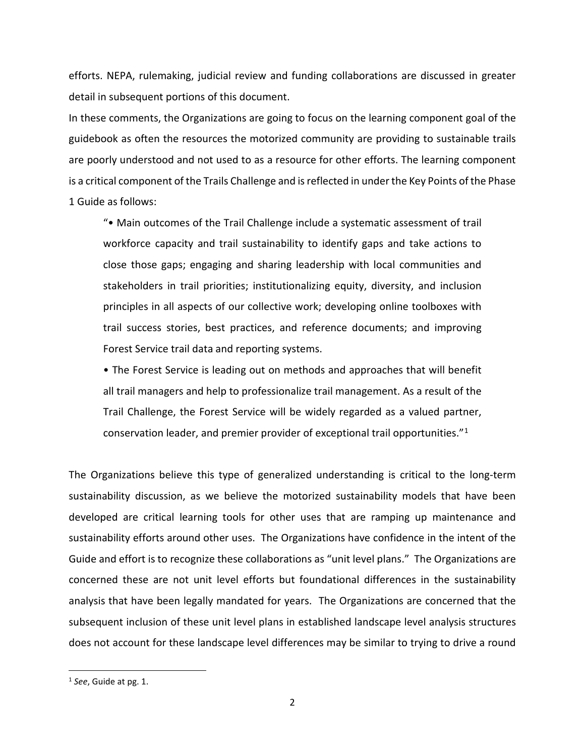efforts. NEPA, rulemaking, judicial review and funding collaborations are discussed in greater detail in subsequent portions of this document.

In these comments, the Organizations are going to focus on the learning component goal of the guidebook as often the resources the motorized community are providing to sustainable trails are poorly understood and not used to as a resource for other efforts. The learning component is a critical component of the Trails Challenge and is reflected in under the Key Points of the Phase 1 Guide as follows:

"• Main outcomes of the Trail Challenge include a systematic assessment of trail workforce capacity and trail sustainability to identify gaps and take actions to close those gaps; engaging and sharing leadership with local communities and stakeholders in trail priorities; institutionalizing equity, diversity, and inclusion principles in all aspects of our collective work; developing online toolboxes with trail success stories, best practices, and reference documents; and improving Forest Service trail data and reporting systems.

• The Forest Service is leading out on methods and approaches that will benefit all trail managers and help to professionalize trail management. As a result of the Trail Challenge, the Forest Service will be widely regarded as a valued partner, conservation leader, and premier provider of exceptional trail opportunities."[1](#page-1-0)

The Organizations believe this type of generalized understanding is critical to the long-term sustainability discussion, as we believe the motorized sustainability models that have been developed are critical learning tools for other uses that are ramping up maintenance and sustainability efforts around other uses. The Organizations have confidence in the intent of the Guide and effort is to recognize these collaborations as "unit level plans." The Organizations are concerned these are not unit level efforts but foundational differences in the sustainability analysis that have been legally mandated for years. The Organizations are concerned that the subsequent inclusion of these unit level plans in established landscape level analysis structures does not account for these landscape level differences may be similar to trying to drive a round

<span id="page-1-0"></span><sup>1</sup> *See*, Guide at pg. 1.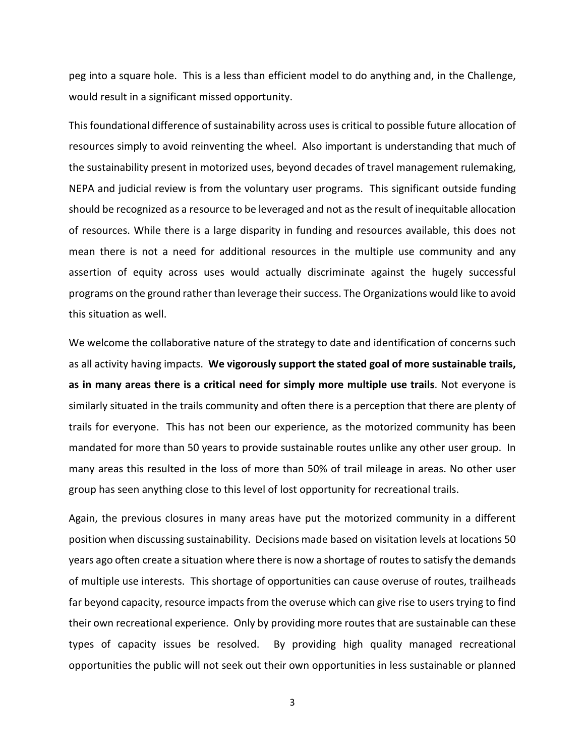peg into a square hole. This is a less than efficient model to do anything and, in the Challenge, would result in a significant missed opportunity.

This foundational difference of sustainability across uses is critical to possible future allocation of resources simply to avoid reinventing the wheel. Also important is understanding that much of the sustainability present in motorized uses, beyond decades of travel management rulemaking, NEPA and judicial review is from the voluntary user programs. This significant outside funding should be recognized as a resource to be leveraged and not as the result of inequitable allocation of resources. While there is a large disparity in funding and resources available, this does not mean there is not a need for additional resources in the multiple use community and any assertion of equity across uses would actually discriminate against the hugely successful programs on the ground rather than leverage their success. The Organizations would like to avoid this situation as well.

We welcome the collaborative nature of the strategy to date and identification of concerns such as all activity having impacts. **We vigorously support the stated goal of more sustainable trails, as in many areas there is a critical need for simply more multiple use trails**. Not everyone is similarly situated in the trails community and often there is a perception that there are plenty of trails for everyone. This has not been our experience, as the motorized community has been mandated for more than 50 years to provide sustainable routes unlike any other user group. In many areas this resulted in the loss of more than 50% of trail mileage in areas. No other user group has seen anything close to this level of lost opportunity for recreational trails.

Again, the previous closures in many areas have put the motorized community in a different position when discussing sustainability. Decisions made based on visitation levels at locations 50 years ago often create a situation where there is now a shortage of routes to satisfy the demands of multiple use interests. This shortage of opportunities can cause overuse of routes, trailheads far beyond capacity, resource impacts from the overuse which can give rise to users trying to find their own recreational experience. Only by providing more routes that are sustainable can these types of capacity issues be resolved. By providing high quality managed recreational opportunities the public will not seek out their own opportunities in less sustainable or planned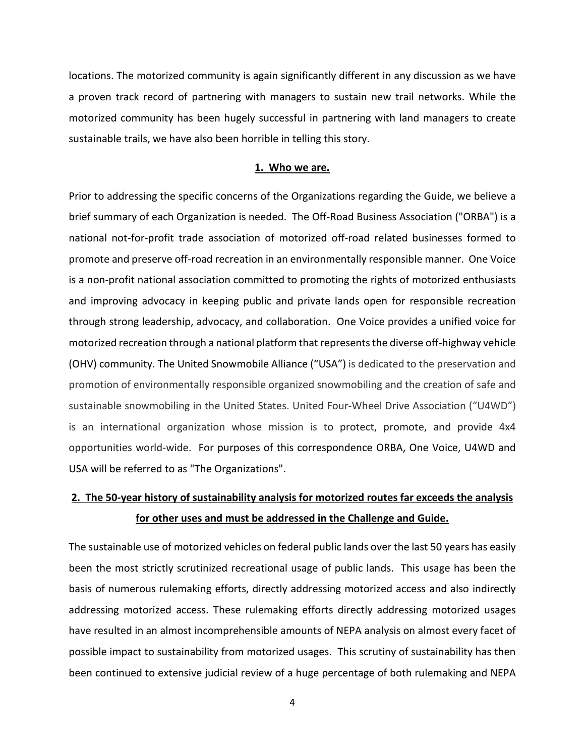locations. The motorized community is again significantly different in any discussion as we have a proven track record of partnering with managers to sustain new trail networks. While the motorized community has been hugely successful in partnering with land managers to create sustainable trails, we have also been horrible in telling this story.

## **1. Who we are.**

Prior to addressing the specific concerns of the Organizations regarding the Guide, we believe a brief summary of each Organization is needed. The Off-Road Business Association ("ORBA") is a national not-for-profit trade association of motorized off-road related businesses formed to promote and preserve off-road recreation in an environmentally responsible manner. One Voice is a non-profit national association committed to promoting the rights of motorized enthusiasts and improving advocacy in keeping public and private lands open for responsible recreation through strong leadership, advocacy, and collaboration. One Voice provides a unified voice for motorized recreation through a national platform that represents the diverse off-highway vehicle (OHV) community. The United Snowmobile Alliance ("USA") is dedicated to the preservation and promotion of environmentally responsible organized snowmobiling and the creation of safe and sustainable snowmobiling in the United States. United Four-Wheel Drive Association ("U4WD") is an international organization whose mission is to protect, promote, and provide 4x4 opportunities world-wide. For purposes of this correspondence ORBA, One Voice, U4WD and USA will be referred to as "The Organizations".

# **2. The 50-year history of sustainability analysis for motorized routes far exceeds the analysis for other uses and must be addressed in the Challenge and Guide.**

The sustainable use of motorized vehicles on federal public lands over the last 50 years has easily been the most strictly scrutinized recreational usage of public lands. This usage has been the basis of numerous rulemaking efforts, directly addressing motorized access and also indirectly addressing motorized access. These rulemaking efforts directly addressing motorized usages have resulted in an almost incomprehensible amounts of NEPA analysis on almost every facet of possible impact to sustainability from motorized usages. This scrutiny of sustainability has then been continued to extensive judicial review of a huge percentage of both rulemaking and NEPA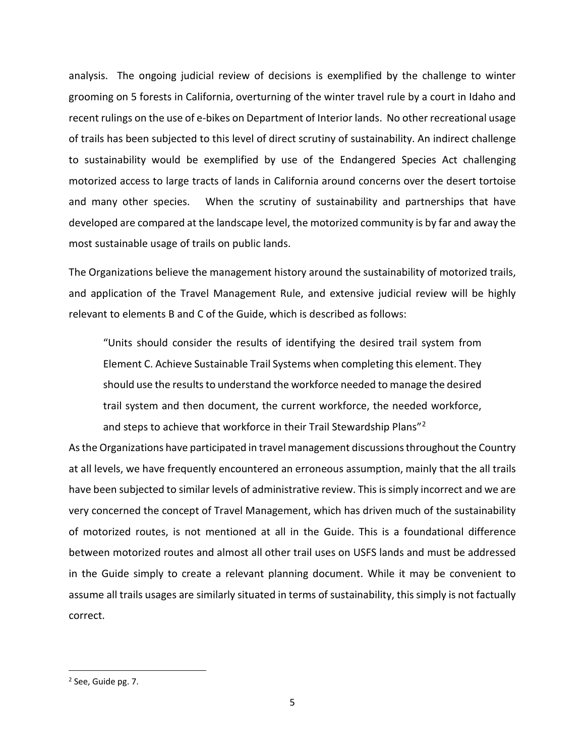analysis. The ongoing judicial review of decisions is exemplified by the challenge to winter grooming on 5 forests in California, overturning of the winter travel rule by a court in Idaho and recent rulings on the use of e-bikes on Department of Interior lands. No other recreational usage of trails has been subjected to this level of direct scrutiny of sustainability. An indirect challenge to sustainability would be exemplified by use of the Endangered Species Act challenging motorized access to large tracts of lands in California around concerns over the desert tortoise and many other species. When the scrutiny of sustainability and partnerships that have developed are compared at the landscape level, the motorized community is by far and away the most sustainable usage of trails on public lands.

The Organizations believe the management history around the sustainability of motorized trails, and application of the Travel Management Rule, and extensive judicial review will be highly relevant to elements B and C of the Guide, which is described as follows:

"Units should consider the results of identifying the desired trail system from Element C. Achieve Sustainable Trail Systems when completing this element. They should use the results to understand the workforce needed to manage the desired trail system and then document, the current workforce, the needed workforce, and steps to achieve that workforce in their Trail Stewardship Plans"<sup>[2](#page-4-0)</sup>

As the Organizations have participated in travel management discussions throughout the Country at all levels, we have frequently encountered an erroneous assumption, mainly that the all trails have been subjected to similar levels of administrative review. This is simply incorrect and we are very concerned the concept of Travel Management, which has driven much of the sustainability of motorized routes, is not mentioned at all in the Guide. This is a foundational difference between motorized routes and almost all other trail uses on USFS lands and must be addressed in the Guide simply to create a relevant planning document. While it may be convenient to assume all trails usages are similarly situated in terms of sustainability, this simply is not factually correct.

<span id="page-4-0"></span><sup>2</sup> See, Guide pg. 7.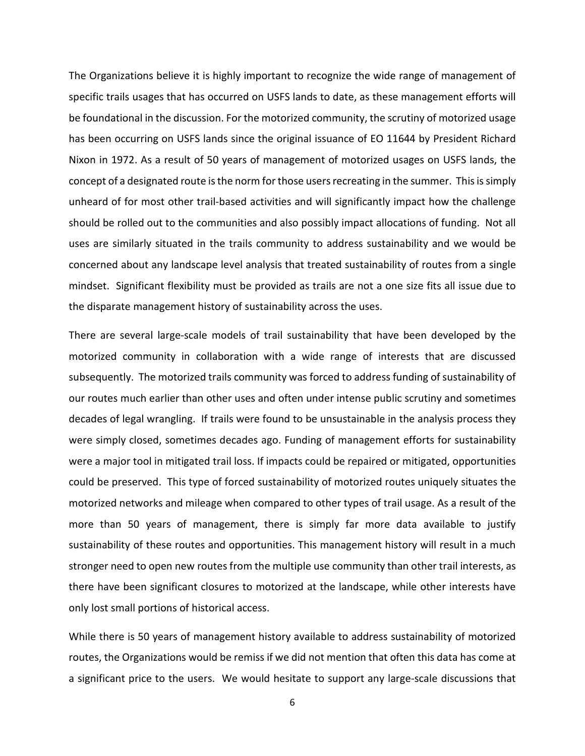The Organizations believe it is highly important to recognize the wide range of management of specific trails usages that has occurred on USFS lands to date, as these management efforts will be foundational in the discussion. For the motorized community, the scrutiny of motorized usage has been occurring on USFS lands since the original issuance of EO 11644 by President Richard Nixon in 1972. As a result of 50 years of management of motorized usages on USFS lands, the concept of a designated route is the norm for those users recreating in the summer. This is simply unheard of for most other trail-based activities and will significantly impact how the challenge should be rolled out to the communities and also possibly impact allocations of funding. Not all uses are similarly situated in the trails community to address sustainability and we would be concerned about any landscape level analysis that treated sustainability of routes from a single mindset. Significant flexibility must be provided as trails are not a one size fits all issue due to the disparate management history of sustainability across the uses.

There are several large-scale models of trail sustainability that have been developed by the motorized community in collaboration with a wide range of interests that are discussed subsequently. The motorized trails community was forced to address funding of sustainability of our routes much earlier than other uses and often under intense public scrutiny and sometimes decades of legal wrangling. If trails were found to be unsustainable in the analysis process they were simply closed, sometimes decades ago. Funding of management efforts for sustainability were a major tool in mitigated trail loss. If impacts could be repaired or mitigated, opportunities could be preserved. This type of forced sustainability of motorized routes uniquely situates the motorized networks and mileage when compared to other types of trail usage. As a result of the more than 50 years of management, there is simply far more data available to justify sustainability of these routes and opportunities. This management history will result in a much stronger need to open new routes from the multiple use community than other trail interests, as there have been significant closures to motorized at the landscape, while other interests have only lost small portions of historical access.

While there is 50 years of management history available to address sustainability of motorized routes, the Organizations would be remiss if we did not mention that often this data has come at a significant price to the users. We would hesitate to support any large-scale discussions that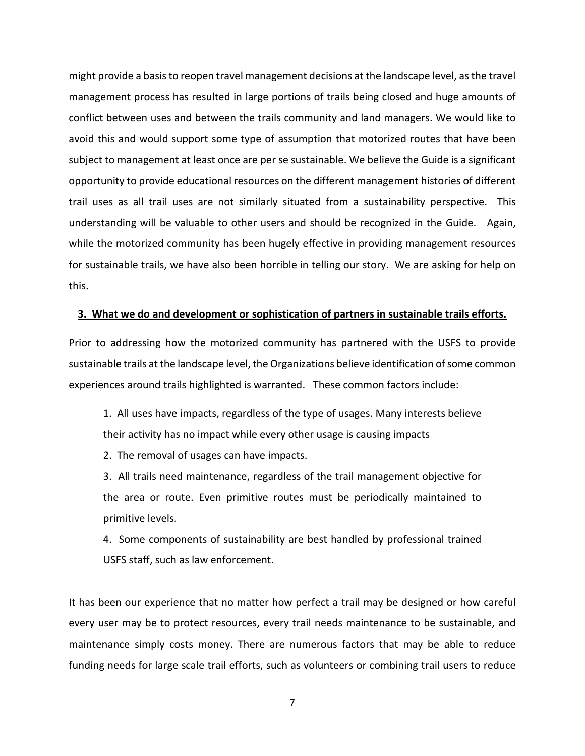might provide a basis to reopen travel management decisions at the landscape level, as the travel management process has resulted in large portions of trails being closed and huge amounts of conflict between uses and between the trails community and land managers. We would like to avoid this and would support some type of assumption that motorized routes that have been subject to management at least once are per se sustainable. We believe the Guide is a significant opportunity to provide educational resources on the different management histories of different trail uses as all trail uses are not similarly situated from a sustainability perspective. This understanding will be valuable to other users and should be recognized in the Guide. Again, while the motorized community has been hugely effective in providing management resources for sustainable trails, we have also been horrible in telling our story. We are asking for help on this.

## **3. What we do and development or sophistication of partners in sustainable trails efforts.**

Prior to addressing how the motorized community has partnered with the USFS to provide sustainable trails at the landscape level, the Organizations believe identification of some common experiences around trails highlighted is warranted. These common factors include:

1. All uses have impacts, regardless of the type of usages. Many interests believe their activity has no impact while every other usage is causing impacts

2. The removal of usages can have impacts.

3. All trails need maintenance, regardless of the trail management objective for the area or route. Even primitive routes must be periodically maintained to primitive levels.

4. Some components of sustainability are best handled by professional trained USFS staff, such as law enforcement.

It has been our experience that no matter how perfect a trail may be designed or how careful every user may be to protect resources, every trail needs maintenance to be sustainable, and maintenance simply costs money. There are numerous factors that may be able to reduce funding needs for large scale trail efforts, such as volunteers or combining trail users to reduce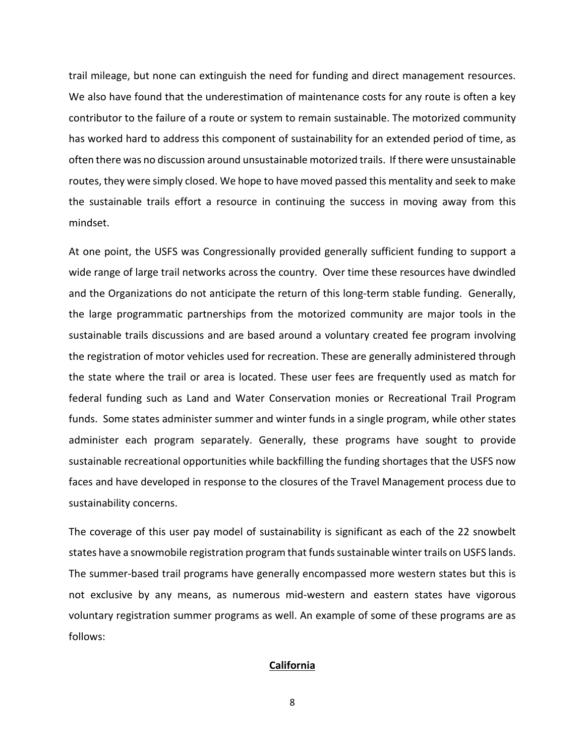trail mileage, but none can extinguish the need for funding and direct management resources. We also have found that the underestimation of maintenance costs for any route is often a key contributor to the failure of a route or system to remain sustainable. The motorized community has worked hard to address this component of sustainability for an extended period of time, as often there was no discussion around unsustainable motorized trails. If there were unsustainable routes, they were simply closed. We hope to have moved passed this mentality and seek to make the sustainable trails effort a resource in continuing the success in moving away from this mindset.

At one point, the USFS was Congressionally provided generally sufficient funding to support a wide range of large trail networks across the country. Over time these resources have dwindled and the Organizations do not anticipate the return of this long-term stable funding. Generally, the large programmatic partnerships from the motorized community are major tools in the sustainable trails discussions and are based around a voluntary created fee program involving the registration of motor vehicles used for recreation. These are generally administered through the state where the trail or area is located. These user fees are frequently used as match for federal funding such as Land and Water Conservation monies or Recreational Trail Program funds. Some states administer summer and winter funds in a single program, while other states administer each program separately. Generally, these programs have sought to provide sustainable recreational opportunities while backfilling the funding shortages that the USFS now faces and have developed in response to the closures of the Travel Management process due to sustainability concerns.

The coverage of this user pay model of sustainability is significant as each of the 22 snowbelt states have a snowmobile registration program that funds sustainable winter trails on USFS lands. The summer-based trail programs have generally encompassed more western states but this is not exclusive by any means, as numerous mid-western and eastern states have vigorous voluntary registration summer programs as well. An example of some of these programs are as follows:

#### **California**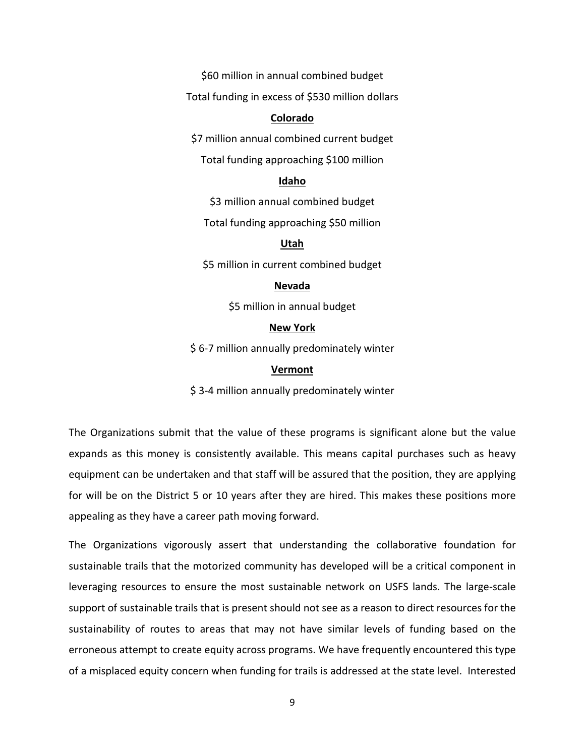\$60 million in annual combined budget

Total funding in excess of \$530 million dollars

#### **Colorado**

\$7 million annual combined current budget

Total funding approaching \$100 million

## **Idaho**

\$3 million annual combined budget

Total funding approaching \$50 million

#### **Utah**

\$5 million in current combined budget

## **Nevada**

\$5 million in annual budget

## **New York**

\$ 6-7 million annually predominately winter

#### **Vermont**

\$3-4 million annually predominately winter

The Organizations submit that the value of these programs is significant alone but the value expands as this money is consistently available. This means capital purchases such as heavy equipment can be undertaken and that staff will be assured that the position, they are applying for will be on the District 5 or 10 years after they are hired. This makes these positions more appealing as they have a career path moving forward.

The Organizations vigorously assert that understanding the collaborative foundation for sustainable trails that the motorized community has developed will be a critical component in leveraging resources to ensure the most sustainable network on USFS lands. The large-scale support of sustainable trails that is present should not see as a reason to direct resources for the sustainability of routes to areas that may not have similar levels of funding based on the erroneous attempt to create equity across programs. We have frequently encountered this type of a misplaced equity concern when funding for trails is addressed at the state level. Interested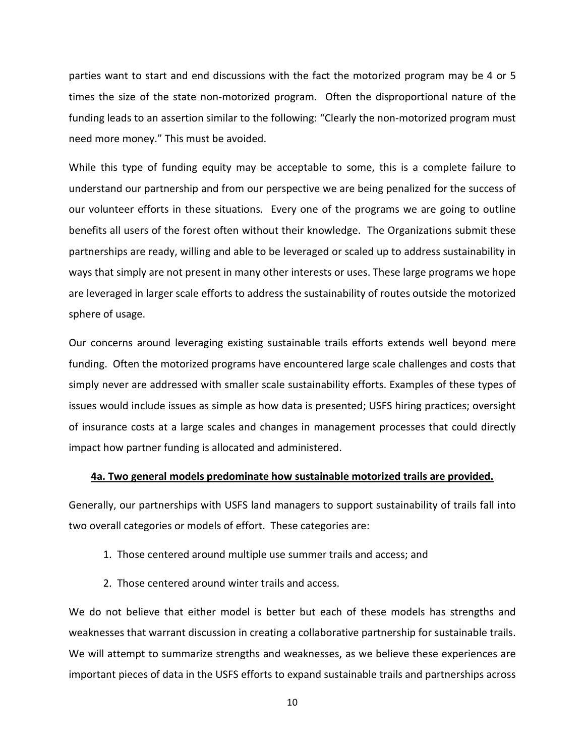parties want to start and end discussions with the fact the motorized program may be 4 or 5 times the size of the state non-motorized program. Often the disproportional nature of the funding leads to an assertion similar to the following: "Clearly the non-motorized program must need more money." This must be avoided.

While this type of funding equity may be acceptable to some, this is a complete failure to understand our partnership and from our perspective we are being penalized for the success of our volunteer efforts in these situations. Every one of the programs we are going to outline benefits all users of the forest often without their knowledge. The Organizations submit these partnerships are ready, willing and able to be leveraged or scaled up to address sustainability in ways that simply are not present in many other interests or uses. These large programs we hope are leveraged in larger scale efforts to address the sustainability of routes outside the motorized sphere of usage.

Our concerns around leveraging existing sustainable trails efforts extends well beyond mere funding. Often the motorized programs have encountered large scale challenges and costs that simply never are addressed with smaller scale sustainability efforts. Examples of these types of issues would include issues as simple as how data is presented; USFS hiring practices; oversight of insurance costs at a large scales and changes in management processes that could directly impact how partner funding is allocated and administered.

#### **4a. Two general models predominate how sustainable motorized trails are provided.**

Generally, our partnerships with USFS land managers to support sustainability of trails fall into two overall categories or models of effort. These categories are:

- 1. Those centered around multiple use summer trails and access; and
- 2. Those centered around winter trails and access.

We do not believe that either model is better but each of these models has strengths and weaknesses that warrant discussion in creating a collaborative partnership for sustainable trails. We will attempt to summarize strengths and weaknesses, as we believe these experiences are important pieces of data in the USFS efforts to expand sustainable trails and partnerships across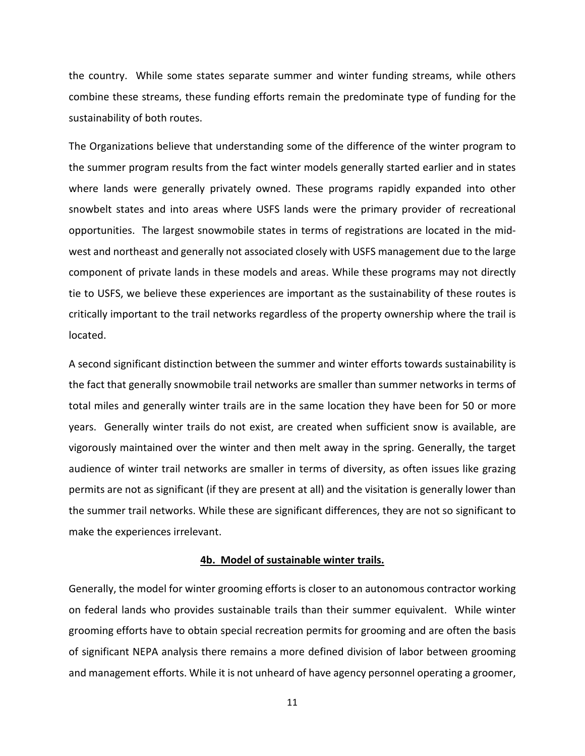the country. While some states separate summer and winter funding streams, while others combine these streams, these funding efforts remain the predominate type of funding for the sustainability of both routes.

The Organizations believe that understanding some of the difference of the winter program to the summer program results from the fact winter models generally started earlier and in states where lands were generally privately owned. These programs rapidly expanded into other snowbelt states and into areas where USFS lands were the primary provider of recreational opportunities. The largest snowmobile states in terms of registrations are located in the midwest and northeast and generally not associated closely with USFS management due to the large component of private lands in these models and areas. While these programs may not directly tie to USFS, we believe these experiences are important as the sustainability of these routes is critically important to the trail networks regardless of the property ownership where the trail is located.

A second significant distinction between the summer and winter efforts towards sustainability is the fact that generally snowmobile trail networks are smaller than summer networks in terms of total miles and generally winter trails are in the same location they have been for 50 or more years. Generally winter trails do not exist, are created when sufficient snow is available, are vigorously maintained over the winter and then melt away in the spring. Generally, the target audience of winter trail networks are smaller in terms of diversity, as often issues like grazing permits are not as significant (if they are present at all) and the visitation is generally lower than the summer trail networks. While these are significant differences, they are not so significant to make the experiences irrelevant.

#### **4b. Model of sustainable winter trails.**

Generally, the model for winter grooming efforts is closer to an autonomous contractor working on federal lands who provides sustainable trails than their summer equivalent. While winter grooming efforts have to obtain special recreation permits for grooming and are often the basis of significant NEPA analysis there remains a more defined division of labor between grooming and management efforts. While it is not unheard of have agency personnel operating a groomer,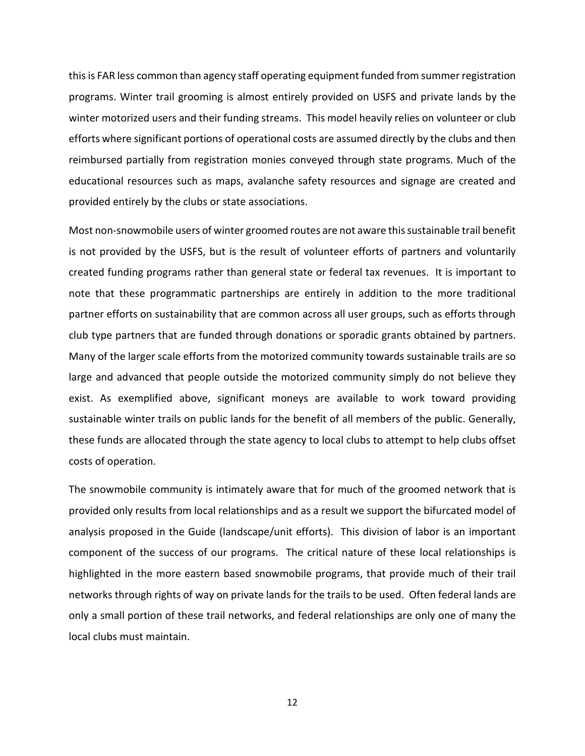this is FAR less common than agency staff operating equipment funded from summer registration programs. Winter trail grooming is almost entirely provided on USFS and private lands by the winter motorized users and their funding streams. This model heavily relies on volunteer or club efforts where significant portions of operational costs are assumed directly by the clubs and then reimbursed partially from registration monies conveyed through state programs. Much of the educational resources such as maps, avalanche safety resources and signage are created and provided entirely by the clubs or state associations.

Most non-snowmobile users of winter groomed routes are not aware this sustainable trail benefit is not provided by the USFS, but is the result of volunteer efforts of partners and voluntarily created funding programs rather than general state or federal tax revenues. It is important to note that these programmatic partnerships are entirely in addition to the more traditional partner efforts on sustainability that are common across all user groups, such as efforts through club type partners that are funded through donations or sporadic grants obtained by partners. Many of the larger scale efforts from the motorized community towards sustainable trails are so large and advanced that people outside the motorized community simply do not believe they exist. As exemplified above, significant moneys are available to work toward providing sustainable winter trails on public lands for the benefit of all members of the public. Generally, these funds are allocated through the state agency to local clubs to attempt to help clubs offset costs of operation.

The snowmobile community is intimately aware that for much of the groomed network that is provided only results from local relationships and as a result we support the bifurcated model of analysis proposed in the Guide (landscape/unit efforts). This division of labor is an important component of the success of our programs. The critical nature of these local relationships is highlighted in the more eastern based snowmobile programs, that provide much of their trail networks through rights of way on private lands for the trails to be used. Often federal lands are only a small portion of these trail networks, and federal relationships are only one of many the local clubs must maintain.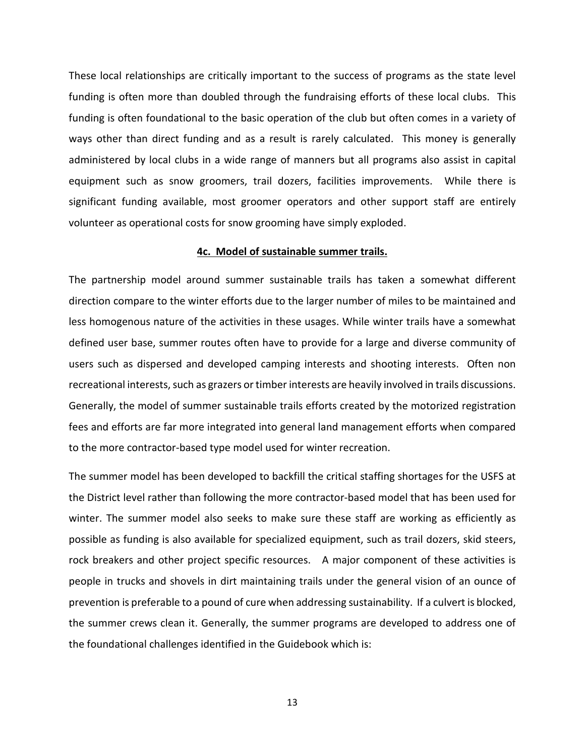These local relationships are critically important to the success of programs as the state level funding is often more than doubled through the fundraising efforts of these local clubs. This funding is often foundational to the basic operation of the club but often comes in a variety of ways other than direct funding and as a result is rarely calculated. This money is generally administered by local clubs in a wide range of manners but all programs also assist in capital equipment such as snow groomers, trail dozers, facilities improvements. While there is significant funding available, most groomer operators and other support staff are entirely volunteer as operational costs for snow grooming have simply exploded.

## **4c. Model of sustainable summer trails.**

The partnership model around summer sustainable trails has taken a somewhat different direction compare to the winter efforts due to the larger number of miles to be maintained and less homogenous nature of the activities in these usages. While winter trails have a somewhat defined user base, summer routes often have to provide for a large and diverse community of users such as dispersed and developed camping interests and shooting interests. Often non recreational interests, such as grazers or timber interests are heavily involved in trails discussions. Generally, the model of summer sustainable trails efforts created by the motorized registration fees and efforts are far more integrated into general land management efforts when compared to the more contractor-based type model used for winter recreation.

The summer model has been developed to backfill the critical staffing shortages for the USFS at the District level rather than following the more contractor-based model that has been used for winter. The summer model also seeks to make sure these staff are working as efficiently as possible as funding is also available for specialized equipment, such as trail dozers, skid steers, rock breakers and other project specific resources. A major component of these activities is people in trucks and shovels in dirt maintaining trails under the general vision of an ounce of prevention is preferable to a pound of cure when addressing sustainability. If a culvert is blocked, the summer crews clean it. Generally, the summer programs are developed to address one of the foundational challenges identified in the Guidebook which is: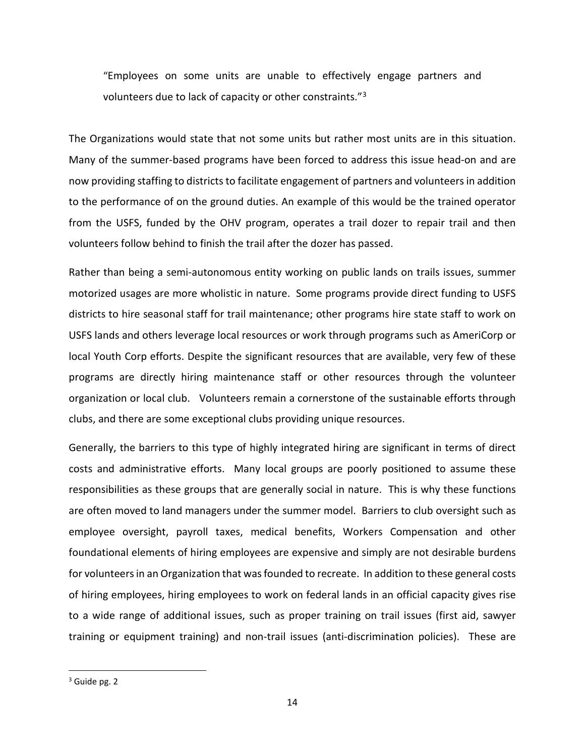"Employees on some units are unable to effectively engage partners and volunteers due to lack of capacity or other constraints."[3](#page-13-0)

The Organizations would state that not some units but rather most units are in this situation. Many of the summer-based programs have been forced to address this issue head-on and are now providing staffing to districts to facilitate engagement of partners and volunteers in addition to the performance of on the ground duties. An example of this would be the trained operator from the USFS, funded by the OHV program, operates a trail dozer to repair trail and then volunteers follow behind to finish the trail after the dozer has passed.

Rather than being a semi-autonomous entity working on public lands on trails issues, summer motorized usages are more wholistic in nature. Some programs provide direct funding to USFS districts to hire seasonal staff for trail maintenance; other programs hire state staff to work on USFS lands and others leverage local resources or work through programs such as AmeriCorp or local Youth Corp efforts. Despite the significant resources that are available, very few of these programs are directly hiring maintenance staff or other resources through the volunteer organization or local club. Volunteers remain a cornerstone of the sustainable efforts through clubs, and there are some exceptional clubs providing unique resources.

Generally, the barriers to this type of highly integrated hiring are significant in terms of direct costs and administrative efforts. Many local groups are poorly positioned to assume these responsibilities as these groups that are generally social in nature. This is why these functions are often moved to land managers under the summer model. Barriers to club oversight such as employee oversight, payroll taxes, medical benefits, Workers Compensation and other foundational elements of hiring employees are expensive and simply are not desirable burdens for volunteers in an Organization that was founded to recreate. In addition to these general costs of hiring employees, hiring employees to work on federal lands in an official capacity gives rise to a wide range of additional issues, such as proper training on trail issues (first aid, sawyer training or equipment training) and non-trail issues (anti-discrimination policies). These are

<span id="page-13-0"></span> $3$  Guide pg. 2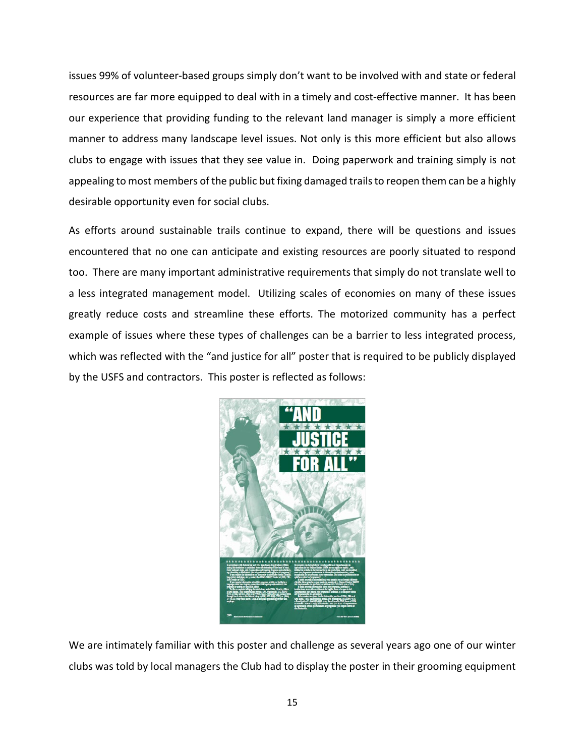issues 99% of volunteer-based groups simply don't want to be involved with and state or federal resources are far more equipped to deal with in a timely and cost-effective manner. It has been our experience that providing funding to the relevant land manager is simply a more efficient manner to address many landscape level issues. Not only is this more efficient but also allows clubs to engage with issues that they see value in. Doing paperwork and training simply is not appealing to most members of the public but fixing damaged trails to reopen them can be a highly desirable opportunity even for social clubs.

As efforts around sustainable trails continue to expand, there will be questions and issues encountered that no one can anticipate and existing resources are poorly situated to respond too. There are many important administrative requirements that simply do not translate well to a less integrated management model. Utilizing scales of economies on many of these issues greatly reduce costs and streamline these efforts. The motorized community has a perfect example of issues where these types of challenges can be a barrier to less integrated process, which was reflected with the "and justice for all" poster that is required to be publicly displayed by the USFS and contractors. This poster is reflected as follows:



We are intimately familiar with this poster and challenge as several years ago one of our winter clubs was told by local managers the Club had to display the poster in their grooming equipment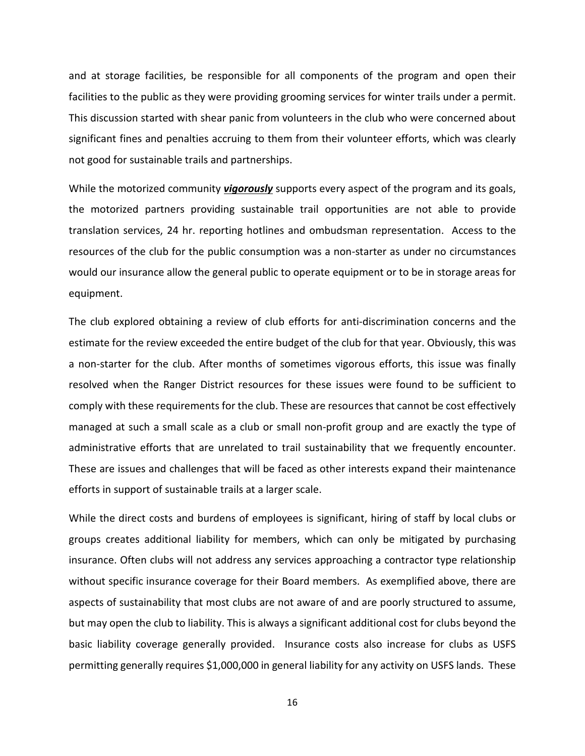and at storage facilities, be responsible for all components of the program and open their facilities to the public as they were providing grooming services for winter trails under a permit. This discussion started with shear panic from volunteers in the club who were concerned about significant fines and penalties accruing to them from their volunteer efforts, which was clearly not good for sustainable trails and partnerships.

While the motorized community *vigorously* supports every aspect of the program and its goals, the motorized partners providing sustainable trail opportunities are not able to provide translation services, 24 hr. reporting hotlines and ombudsman representation. Access to the resources of the club for the public consumption was a non-starter as under no circumstances would our insurance allow the general public to operate equipment or to be in storage areas for equipment.

The club explored obtaining a review of club efforts for anti-discrimination concerns and the estimate for the review exceeded the entire budget of the club for that year. Obviously, this was a non-starter for the club. After months of sometimes vigorous efforts, this issue was finally resolved when the Ranger District resources for these issues were found to be sufficient to comply with these requirements for the club. These are resources that cannot be cost effectively managed at such a small scale as a club or small non-profit group and are exactly the type of administrative efforts that are unrelated to trail sustainability that we frequently encounter. These are issues and challenges that will be faced as other interests expand their maintenance efforts in support of sustainable trails at a larger scale.

While the direct costs and burdens of employees is significant, hiring of staff by local clubs or groups creates additional liability for members, which can only be mitigated by purchasing insurance. Often clubs will not address any services approaching a contractor type relationship without specific insurance coverage for their Board members. As exemplified above, there are aspects of sustainability that most clubs are not aware of and are poorly structured to assume, but may open the club to liability. This is always a significant additional cost for clubs beyond the basic liability coverage generally provided. Insurance costs also increase for clubs as USFS permitting generally requires \$1,000,000 in general liability for any activity on USFS lands. These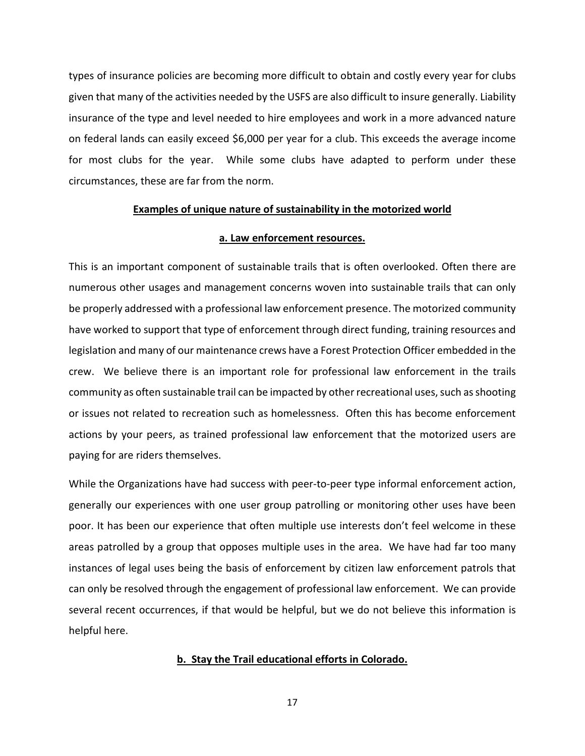types of insurance policies are becoming more difficult to obtain and costly every year for clubs given that many of the activities needed by the USFS are also difficult to insure generally. Liability insurance of the type and level needed to hire employees and work in a more advanced nature on federal lands can easily exceed \$6,000 per year for a club. This exceeds the average income for most clubs for the year. While some clubs have adapted to perform under these circumstances, these are far from the norm.

## **Examples of unique nature of sustainability in the motorized world**

## **a. Law enforcement resources.**

This is an important component of sustainable trails that is often overlooked. Often there are numerous other usages and management concerns woven into sustainable trails that can only be properly addressed with a professional law enforcement presence. The motorized community have worked to support that type of enforcement through direct funding, training resources and legislation and many of our maintenance crews have a Forest Protection Officer embedded in the crew. We believe there is an important role for professional law enforcement in the trails community as often sustainable trail can be impacted by other recreational uses, such as shooting or issues not related to recreation such as homelessness. Often this has become enforcement actions by your peers, as trained professional law enforcement that the motorized users are paying for are riders themselves.

While the Organizations have had success with peer-to-peer type informal enforcement action, generally our experiences with one user group patrolling or monitoring other uses have been poor. It has been our experience that often multiple use interests don't feel welcome in these areas patrolled by a group that opposes multiple uses in the area. We have had far too many instances of legal uses being the basis of enforcement by citizen law enforcement patrols that can only be resolved through the engagement of professional law enforcement. We can provide several recent occurrences, if that would be helpful, but we do not believe this information is helpful here.

#### **b. Stay the Trail educational efforts in Colorado.**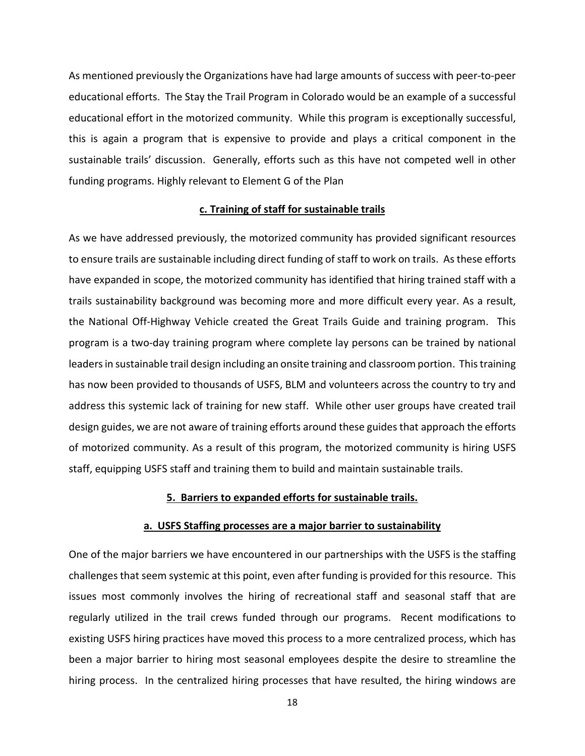As mentioned previously the Organizations have had large amounts of success with peer-to-peer educational efforts. The Stay the Trail Program in Colorado would be an example of a successful educational effort in the motorized community. While this program is exceptionally successful, this is again a program that is expensive to provide and plays a critical component in the sustainable trails' discussion. Generally, efforts such as this have not competed well in other funding programs. Highly relevant to Element G of the Plan

## **c. Training of staff for sustainable trails**

As we have addressed previously, the motorized community has provided significant resources to ensure trails are sustainable including direct funding of staff to work on trails. As these efforts have expanded in scope, the motorized community has identified that hiring trained staff with a trails sustainability background was becoming more and more difficult every year. As a result, the National Off-Highway Vehicle created the Great Trails Guide and training program. This program is a two-day training program where complete lay persons can be trained by national leaders in sustainable trail design including an onsite training and classroom portion. This training has now been provided to thousands of USFS, BLM and volunteers across the country to try and address this systemic lack of training for new staff. While other user groups have created trail design guides, we are not aware of training efforts around these guides that approach the efforts of motorized community. As a result of this program, the motorized community is hiring USFS staff, equipping USFS staff and training them to build and maintain sustainable trails.

#### **5. Barriers to expanded efforts for sustainable trails.**

#### **a. USFS Staffing processes are a major barrier to sustainability**

One of the major barriers we have encountered in our partnerships with the USFS is the staffing challenges that seem systemic at this point, even after funding is provided for this resource. This issues most commonly involves the hiring of recreational staff and seasonal staff that are regularly utilized in the trail crews funded through our programs. Recent modifications to existing USFS hiring practices have moved this process to a more centralized process, which has been a major barrier to hiring most seasonal employees despite the desire to streamline the hiring process. In the centralized hiring processes that have resulted, the hiring windows are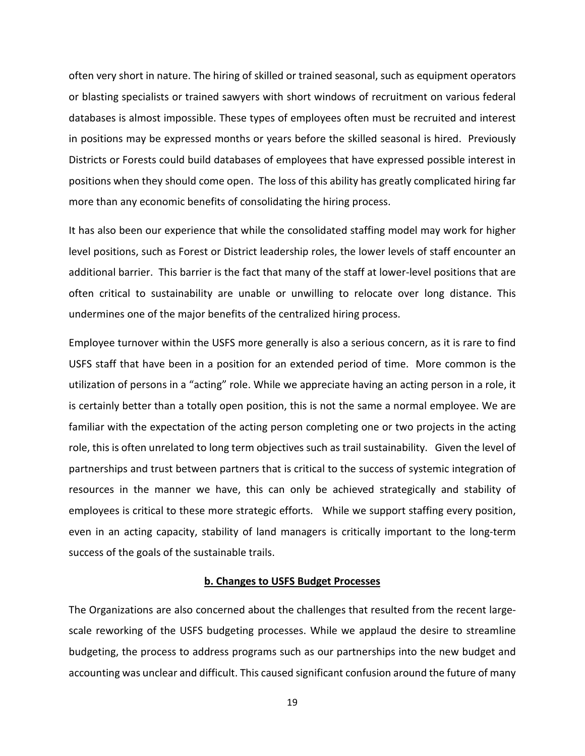often very short in nature. The hiring of skilled or trained seasonal, such as equipment operators or blasting specialists or trained sawyers with short windows of recruitment on various federal databases is almost impossible. These types of employees often must be recruited and interest in positions may be expressed months or years before the skilled seasonal is hired. Previously Districts or Forests could build databases of employees that have expressed possible interest in positions when they should come open. The loss of this ability has greatly complicated hiring far more than any economic benefits of consolidating the hiring process.

It has also been our experience that while the consolidated staffing model may work for higher level positions, such as Forest or District leadership roles, the lower levels of staff encounter an additional barrier. This barrier is the fact that many of the staff at lower-level positions that are often critical to sustainability are unable or unwilling to relocate over long distance. This undermines one of the major benefits of the centralized hiring process.

Employee turnover within the USFS more generally is also a serious concern, as it is rare to find USFS staff that have been in a position for an extended period of time. More common is the utilization of persons in a "acting" role. While we appreciate having an acting person in a role, it is certainly better than a totally open position, this is not the same a normal employee. We are familiar with the expectation of the acting person completing one or two projects in the acting role, this is often unrelated to long term objectives such as trail sustainability. Given the level of partnerships and trust between partners that is critical to the success of systemic integration of resources in the manner we have, this can only be achieved strategically and stability of employees is critical to these more strategic efforts. While we support staffing every position, even in an acting capacity, stability of land managers is critically important to the long-term success of the goals of the sustainable trails.

#### **b. Changes to USFS Budget Processes**

The Organizations are also concerned about the challenges that resulted from the recent largescale reworking of the USFS budgeting processes. While we applaud the desire to streamline budgeting, the process to address programs such as our partnerships into the new budget and accounting was unclear and difficult. This caused significant confusion around the future of many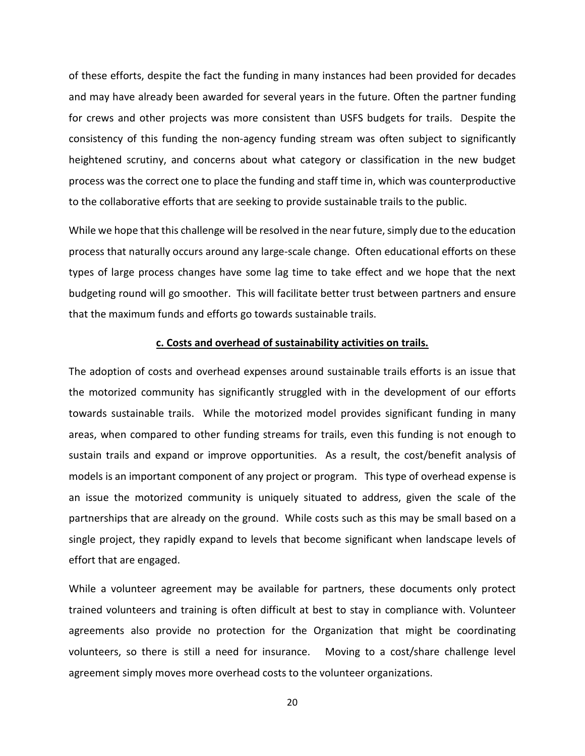of these efforts, despite the fact the funding in many instances had been provided for decades and may have already been awarded for several years in the future. Often the partner funding for crews and other projects was more consistent than USFS budgets for trails. Despite the consistency of this funding the non-agency funding stream was often subject to significantly heightened scrutiny, and concerns about what category or classification in the new budget process was the correct one to place the funding and staff time in, which was counterproductive to the collaborative efforts that are seeking to provide sustainable trails to the public.

While we hope that this challenge will be resolved in the near future, simply due to the education process that naturally occurs around any large-scale change. Often educational efforts on these types of large process changes have some lag time to take effect and we hope that the next budgeting round will go smoother. This will facilitate better trust between partners and ensure that the maximum funds and efforts go towards sustainable trails.

#### **c. Costs and overhead of sustainability activities on trails.**

The adoption of costs and overhead expenses around sustainable trails efforts is an issue that the motorized community has significantly struggled with in the development of our efforts towards sustainable trails. While the motorized model provides significant funding in many areas, when compared to other funding streams for trails, even this funding is not enough to sustain trails and expand or improve opportunities. As a result, the cost/benefit analysis of models is an important component of any project or program. This type of overhead expense is an issue the motorized community is uniquely situated to address, given the scale of the partnerships that are already on the ground. While costs such as this may be small based on a single project, they rapidly expand to levels that become significant when landscape levels of effort that are engaged.

While a volunteer agreement may be available for partners, these documents only protect trained volunteers and training is often difficult at best to stay in compliance with. Volunteer agreements also provide no protection for the Organization that might be coordinating volunteers, so there is still a need for insurance. Moving to a cost/share challenge level agreement simply moves more overhead costs to the volunteer organizations.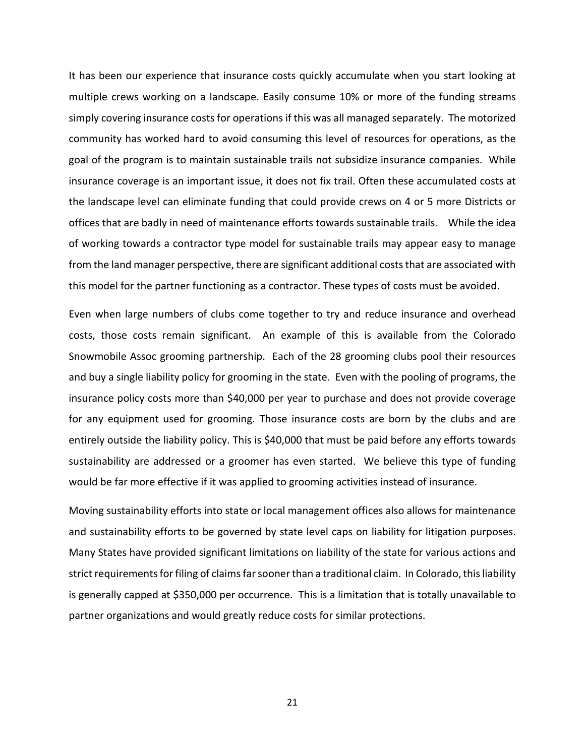It has been our experience that insurance costs quickly accumulate when you start looking at multiple crews working on a landscape. Easily consume 10% or more of the funding streams simply covering insurance costs for operations if this was all managed separately. The motorized community has worked hard to avoid consuming this level of resources for operations, as the goal of the program is to maintain sustainable trails not subsidize insurance companies. While insurance coverage is an important issue, it does not fix trail. Often these accumulated costs at the landscape level can eliminate funding that could provide crews on 4 or 5 more Districts or offices that are badly in need of maintenance efforts towards sustainable trails. While the idea of working towards a contractor type model for sustainable trails may appear easy to manage from the land manager perspective, there are significant additional costs that are associated with this model for the partner functioning as a contractor. These types of costs must be avoided.

Even when large numbers of clubs come together to try and reduce insurance and overhead costs, those costs remain significant. An example of this is available from the Colorado Snowmobile Assoc grooming partnership. Each of the 28 grooming clubs pool their resources and buy a single liability policy for grooming in the state. Even with the pooling of programs, the insurance policy costs more than \$40,000 per year to purchase and does not provide coverage for any equipment used for grooming. Those insurance costs are born by the clubs and are entirely outside the liability policy. This is \$40,000 that must be paid before any efforts towards sustainability are addressed or a groomer has even started. We believe this type of funding would be far more effective if it was applied to grooming activities instead of insurance.

Moving sustainability efforts into state or local management offices also allows for maintenance and sustainability efforts to be governed by state level caps on liability for litigation purposes. Many States have provided significant limitations on liability of the state for various actions and strict requirements for filing of claims far sooner than a traditional claim. In Colorado, this liability is generally capped at \$350,000 per occurrence. This is a limitation that is totally unavailable to partner organizations and would greatly reduce costs for similar protections.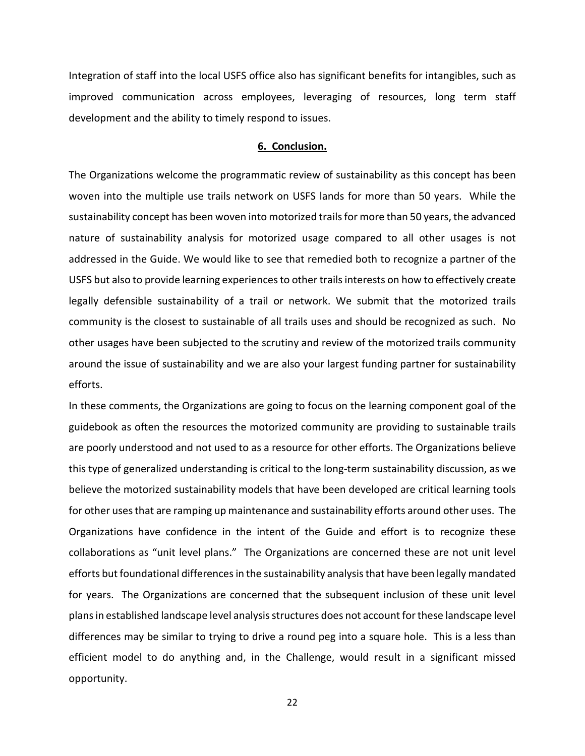Integration of staff into the local USFS office also has significant benefits for intangibles, such as improved communication across employees, leveraging of resources, long term staff development and the ability to timely respond to issues.

## **6. Conclusion.**

The Organizations welcome the programmatic review of sustainability as this concept has been woven into the multiple use trails network on USFS lands for more than 50 years. While the sustainability concept has been woven into motorized trails for more than 50 years, the advanced nature of sustainability analysis for motorized usage compared to all other usages is not addressed in the Guide. We would like to see that remedied both to recognize a partner of the USFS but also to provide learning experiences to other trails interests on how to effectively create legally defensible sustainability of a trail or network. We submit that the motorized trails community is the closest to sustainable of all trails uses and should be recognized as such. No other usages have been subjected to the scrutiny and review of the motorized trails community around the issue of sustainability and we are also your largest funding partner for sustainability efforts.

In these comments, the Organizations are going to focus on the learning component goal of the guidebook as often the resources the motorized community are providing to sustainable trails are poorly understood and not used to as a resource for other efforts. The Organizations believe this type of generalized understanding is critical to the long-term sustainability discussion, as we believe the motorized sustainability models that have been developed are critical learning tools for other uses that are ramping up maintenance and sustainability efforts around other uses. The Organizations have confidence in the intent of the Guide and effort is to recognize these collaborations as "unit level plans." The Organizations are concerned these are not unit level efforts but foundational differences in the sustainability analysis that have been legally mandated for years. The Organizations are concerned that the subsequent inclusion of these unit level plans in established landscape level analysis structures does not account for these landscape level differences may be similar to trying to drive a round peg into a square hole. This is a less than efficient model to do anything and, in the Challenge, would result in a significant missed opportunity.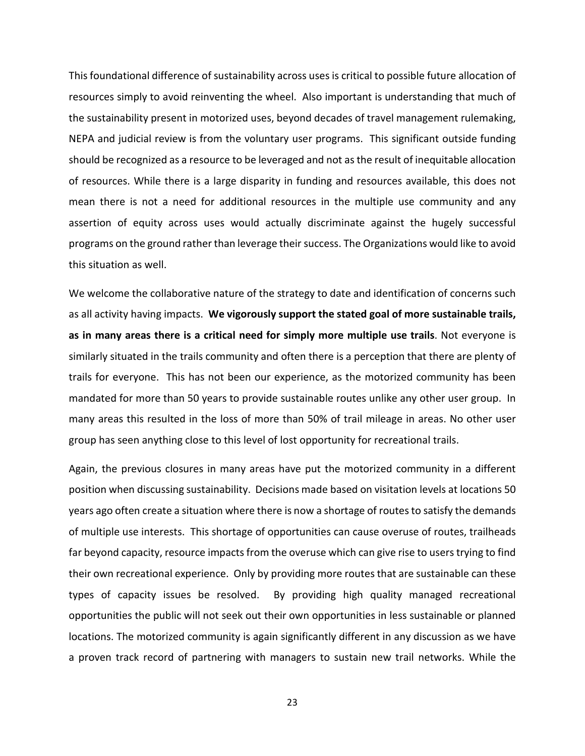This foundational difference of sustainability across uses is critical to possible future allocation of resources simply to avoid reinventing the wheel. Also important is understanding that much of the sustainability present in motorized uses, beyond decades of travel management rulemaking, NEPA and judicial review is from the voluntary user programs. This significant outside funding should be recognized as a resource to be leveraged and not as the result of inequitable allocation of resources. While there is a large disparity in funding and resources available, this does not mean there is not a need for additional resources in the multiple use community and any assertion of equity across uses would actually discriminate against the hugely successful programs on the ground rather than leverage their success. The Organizations would like to avoid this situation as well.

We welcome the collaborative nature of the strategy to date and identification of concerns such as all activity having impacts. **We vigorously support the stated goal of more sustainable trails, as in many areas there is a critical need for simply more multiple use trails**. Not everyone is similarly situated in the trails community and often there is a perception that there are plenty of trails for everyone. This has not been our experience, as the motorized community has been mandated for more than 50 years to provide sustainable routes unlike any other user group. In many areas this resulted in the loss of more than 50% of trail mileage in areas. No other user group has seen anything close to this level of lost opportunity for recreational trails.

Again, the previous closures in many areas have put the motorized community in a different position when discussing sustainability. Decisions made based on visitation levels at locations 50 years ago often create a situation where there is now a shortage of routes to satisfy the demands of multiple use interests. This shortage of opportunities can cause overuse of routes, trailheads far beyond capacity, resource impacts from the overuse which can give rise to users trying to find their own recreational experience. Only by providing more routes that are sustainable can these types of capacity issues be resolved. By providing high quality managed recreational opportunities the public will not seek out their own opportunities in less sustainable or planned locations. The motorized community is again significantly different in any discussion as we have a proven track record of partnering with managers to sustain new trail networks. While the